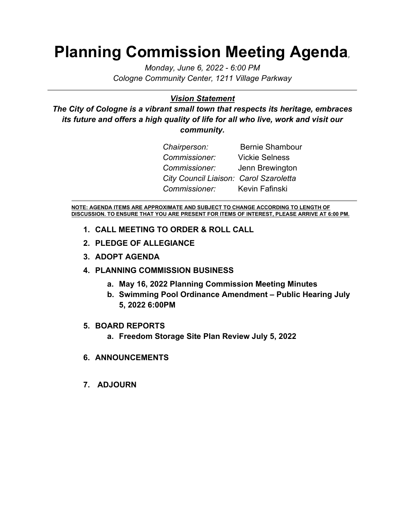# **Planning Commission Meeting Agenda***,*

*Monday, June 6, 2022 - 6:00 PM Cologne Community Center, 1211 Village Parkway*

#### *Vision Statement*

*The City of Cologne is a vibrant small town that respects its heritage, embraces its future and offers a high quality of life for all who live, work and visit our community.*

| Chairperson:                           | <b>Bernie Shambour</b> |
|----------------------------------------|------------------------|
| Commissioner:                          | <b>Vickie Selness</b>  |
| <i>Commissioner:</i>                   | Jenn Brewington        |
| City Council Liaison: Carol Szaroletta |                        |
| Commissioner: Kevin Fafinski           |                        |

**NOTE: AGENDA ITEMS ARE APPROXIMATE AND SUBJECT TO CHANGE ACCORDING TO LENGTH OF DISCUSSION. TO ENSURE THAT YOU ARE PRESENT FOR ITEMS OF INTEREST, PLEASE ARRIVE AT 6:00 PM.**

- **1. CALL MEETING TO ORDER & ROLL CALL**
- **2. PLEDGE OF ALLEGIANCE**
- **3. ADOPT AGENDA**

#### **4. PLANNING COMMISSION BUSINESS**

- **a. May 16, 2022 Planning Commission Meeting Minutes**
- **b. Swimming Pool Ordinance Amendment – Public Hearing July 5, 2022 6:00PM**

#### **5. BOARD REPORTS**

- **a. Freedom Storage Site Plan Review July 5, 2022**
- **6. ANNOUNCEMENTS**
- **7. ADJOURN**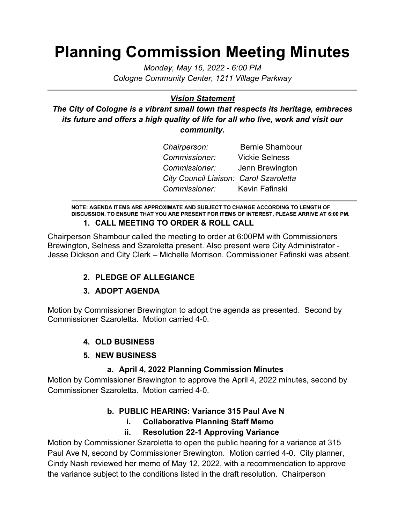# **Planning Commission Meeting Minutes**

*Monday, May 16, 2022 - 6:00 PM Cologne Community Center, 1211 Village Parkway*

### *Vision Statement*

*The City of Cologne is a vibrant small town that respects its heritage, embraces its future and offers a high quality of life for all who live, work and visit our community.*

| Chairperson:                           | <b>Bernie Shambour</b> |
|----------------------------------------|------------------------|
| Commissioner:                          | <b>Vickie Selness</b>  |
| <i>Commissioner:</i>                   | Jenn Brewington        |
| City Council Liaison: Carol Szaroletta |                        |
| Commissioner: Kevin Fafinski           |                        |

**NOTE: AGENDA ITEMS ARE APPROXIMATE AND SUBJECT TO CHANGE ACCORDING TO LENGTH OF DISCUSSION. TO ENSURE THAT YOU ARE PRESENT FOR ITEMS OF INTEREST, PLEASE ARRIVE AT 6:00 PM. 1. CALL MEETING TO ORDER & ROLL CALL**

Chairperson Shambour called the meeting to order at 6:00PM with Commissioners Brewington, Selness and Szaroletta present. Also present were City Administrator - Jesse Dickson and City Clerk – Michelle Morrison. Commissioner Fafinski was absent.

#### **2. PLEDGE OF ALLEGIANCE**

#### **3. ADOPT AGENDA**

Motion by Commissioner Brewington to adopt the agenda as presented. Second by Commissioner Szaroletta. Motion carried 4-0.

# **4. OLD BUSINESS**

#### **5. NEW BUSINESS**

#### **a. April 4, 2022 Planning Commission Minutes**

Motion by Commissioner Brewington to approve the April 4, 2022 minutes, second by Commissioner Szaroletta. Motion carried 4-0.

# **b. PUBLIC HEARING: Variance 315 Paul Ave N**

# **i. Collaborative Planning Staff Memo**

# **ii. Resolution 22-1 Approving Variance**

Motion by Commissioner Szaroletta to open the public hearing for a variance at 315 Paul Ave N, second by Commissioner Brewington. Motion carried 4-0. City planner, Cindy Nash reviewed her memo of May 12, 2022, with a recommendation to approve the variance subject to the conditions listed in the draft resolution. Chairperson